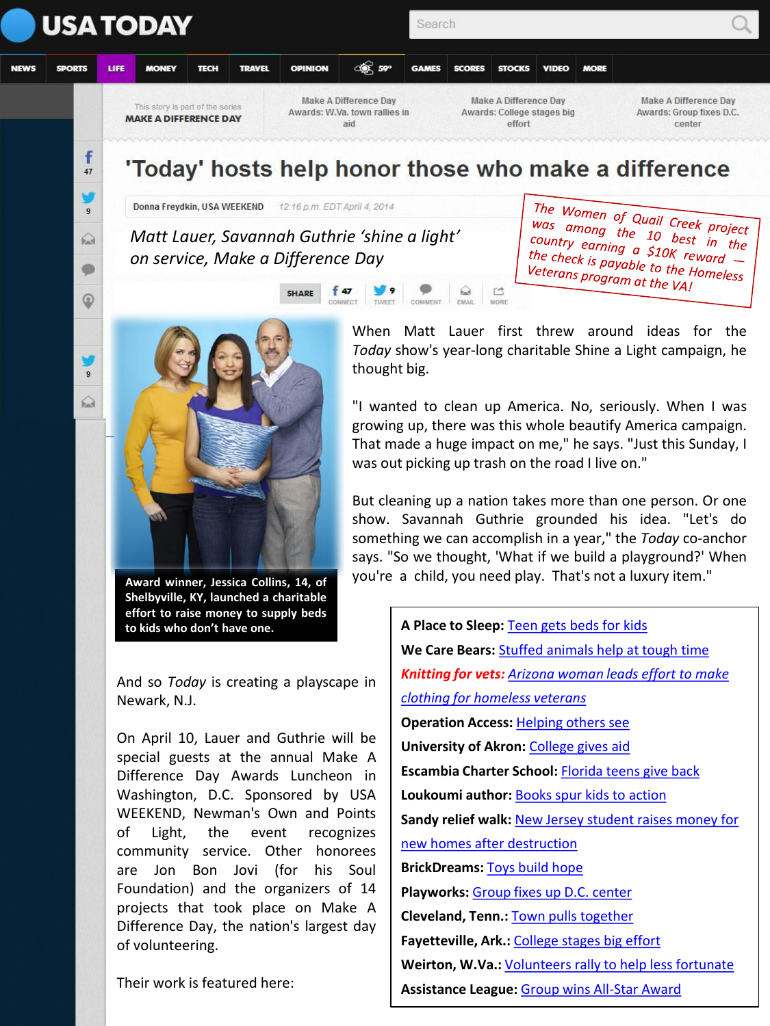

## 'Today' hosts help honor those who make a difference

Donna Freydkin, USA WEEKEND 12:16 p.m. EDT April 4, 2014

f

 $47$ 

 $\bigcirc$ 

 $\bullet$ 

☺

 $\Omega$ 

*Matt Lauer, Savannah Guthrie 'shine a light' on service, Make a Difference Day*

SHARE

 $f$  47

The Women of Quail Creek project<br>was among the 10 hect project Was among the 10 best project<br>country earning a S10k st in the country earning the 10 best in the<br>the check is payable to the unard the check is payable to the Homeless<br>Veterans program at the VAL<br>Veterans program at the VAL Veterans program at the VAI



**Award winner, Jessica Collins, 14, of Shelbyville, KY, launched a charitable effort to raise money to supply beds to kids who don't have one.**

And so *Today* is creating a playscape in Newark, N.J.

On April 10, Lauer and Guthrie will be special guests at the annual Make A Difference Day Awards Luncheon in Washington, D.C. Sponsored by USA WEEKEND, Newman's Own and Points of Light, the event recognizes community service. Other honorees are Jon Bon Jovi (for his Soul Foundation) and the organizers of 14 projects that took place on Make A Difference Day, the nation's largest day of volunteering.

Their work is featured here:

When Matt Lauer first threw around ideas for the *Today* show's year-long charitable Shine a Light campaign, he thought big.

ぱ

"I wanted to clean up America. No, seriously. When I was growing up, there was this whole beautify America campaign. That made a huge impact on me," he says. "Just this Sunday, I was out picking up trash on the road I live on."

But cleaning up a nation takes more than one person. Or one show. Savannah Guthrie grounded his idea. "Let's do something we can accomplish in a year," the *Today* co-anchor says. "So we thought, 'What if we build a playground?' When you're a child, you need play. That's not a luxury item."

> **A Place to Sleep:** [Teen gets beds for kids](http://www.usatoday.com/story/life/weekend/living/2014/04/03/make-a-difference-day-awards-teen-provides-place-to-rest/7267655/) **We Care Bears:** [Stuffed animals help at tough time](http://www.usatoday.com/story/life/weekend/living/2014/04/03/make-a-difference-day-awards-bear-hugs-for-kids-at-difficult-time/7269241/) *Knitting for vets: [Arizona woman leads effort to make](http://www.usatoday.com/story/life/weekend/2014/04/03/make-a-difference-day-awards-knitting-for-vets/7269877/)  [clothing for homeless veterans](http://www.usatoday.com/story/life/weekend/2014/04/03/make-a-difference-day-awards-knitting-for-vets/7269877/)* **Operation Access:** [Helping others see](http://www.usatoday.com/story/life/weekend/2014/04/03/make-a-difference-day-awards-helping-others-see/7270779/) **University of Akron:** [College gives aid](http://www.usatoday.com/story/life/weekend/living/2014/04/03/make-a-difference-day-awards-college-gives-aid/7271219/) **Escambia Charter School:** [Florida teens give back](http://www.usatoday.com/story/life/weekend/living/2014/04/03/make-a-difference-day-florida-teens-give-back/7271907/) **Loukoumi author:** [Books spur kids to action](http://www.usatoday.com/story/life/weekend/living/2014/04/03/make-a-difference-day-awards-books-spur-action-in-kids/7272247/) **Sandy relief walk:** [New Jersey student raises money for](http://www.usatoday.com/story/life/weekend/living/2014/04/03/make-a-difference-day-awards-teen-organizes-relief-walk/7272533/)  [new homes after destruction](http://www.usatoday.com/story/life/weekend/living/2014/04/03/make-a-difference-day-awards-teen-organizes-relief-walk/7272533/) **BrickDreams:** [Toys build hope](http://www.usatoday.com/story/life/weekend/living/2014/04/03/make-a-difference-day-awards-toys-build-hope/7273365/) **Playworks:** [Group fixes up D.C. center](http://www.usatoday.com/story/life/weekend/living/2014/04/03/make-a-difference-day-awards-play-group-works-to-fix-up-community-center/7273871/) **Cleveland, Tenn.:** [Town pulls together](http://www.usatoday.com/story/life/weekend/living/2014/04/04/make-a-difference-day-awards-tennessee-town-pulls-together/7296097/) **Fayetteville, Ark.:** [College stages big effort](http://www.usatoday.com/story/life/weekend/living/2014/04/04/make-a-difference-day-awards-college-stages-big-effort/7296283/) **Weirton, W.Va.:** [Volunteers rally to help less fortunate](http://www.usatoday.com/story/life/weekend/living/2014/04/04/make-a-difference-day-awards-west-virginia-town-rallies-to-help/7296533/) **Assistance League:** [Group wins All-Star Award](http://www.usatoday.com/story/life/weekend/living/2014/04/04/make-a-difference-day-awards-assistance-league-honored/7296763/)